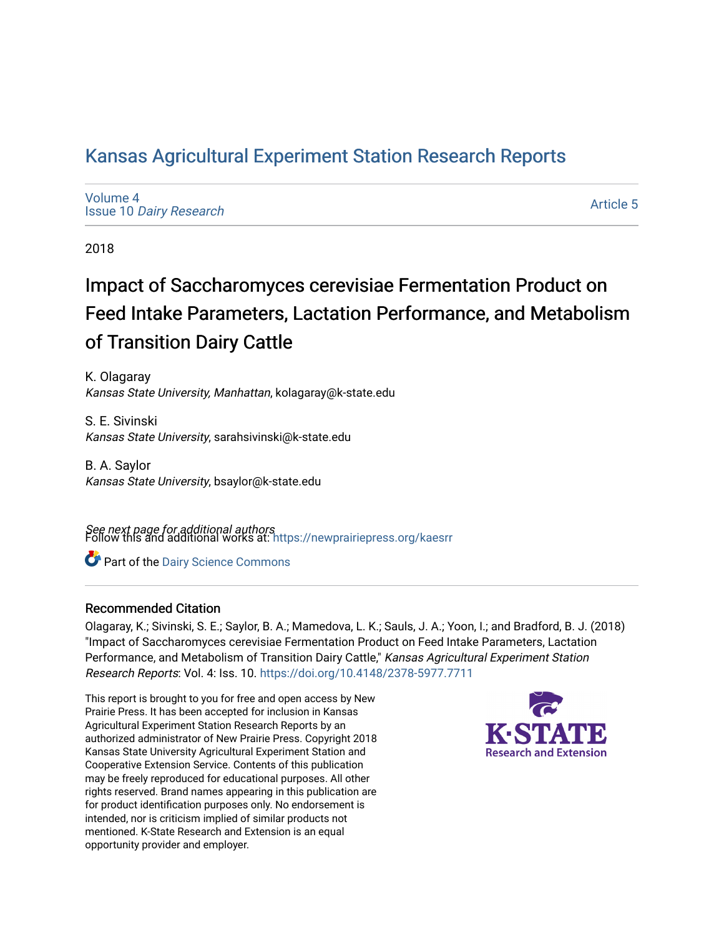# [Kansas Agricultural Experiment Station Research Reports](https://newprairiepress.org/kaesrr)

[Volume 4](https://newprairiepress.org/kaesrr/vol4) Issue 10 [Dairy Research](https://newprairiepress.org/kaesrr/vol4/iss10)

[Article 5](https://newprairiepress.org/kaesrr/vol4/iss10/5) 

2018

# Impact of Saccharomyces cerevisiae Fermentation Product on Feed Intake Parameters, Lactation Performance, and Metabolism of Transition Dairy Cattle

K. Olagaray Kansas State University, Manhattan, kolagaray@k-state.edu

S. E. Sivinski Kansas State University, sarahsivinski@k-state.edu

B. A. Saylor Kansas State University, bsaylor@k-state.edu

**See next page for additional authors**<br>Follow this and additional works at: https://newprairiepress.org/kaesrr

**C** Part of the Dairy Science Commons

## Recommended Citation

Olagaray, K.; Sivinski, S. E.; Saylor, B. A.; Mamedova, L. K.; Sauls, J. A.; Yoon, I.; and Bradford, B. J. (2018) "Impact of Saccharomyces cerevisiae Fermentation Product on Feed Intake Parameters, Lactation Performance, and Metabolism of Transition Dairy Cattle," Kansas Agricultural Experiment Station Research Reports: Vol. 4: Iss. 10. <https://doi.org/10.4148/2378-5977.7711>

This report is brought to you for free and open access by New Prairie Press. It has been accepted for inclusion in Kansas Agricultural Experiment Station Research Reports by an authorized administrator of New Prairie Press. Copyright 2018 Kansas State University Agricultural Experiment Station and Cooperative Extension Service. Contents of this publication may be freely reproduced for educational purposes. All other rights reserved. Brand names appearing in this publication are for product identification purposes only. No endorsement is intended, nor is criticism implied of similar products not mentioned. K-State Research and Extension is an equal opportunity provider and employer.

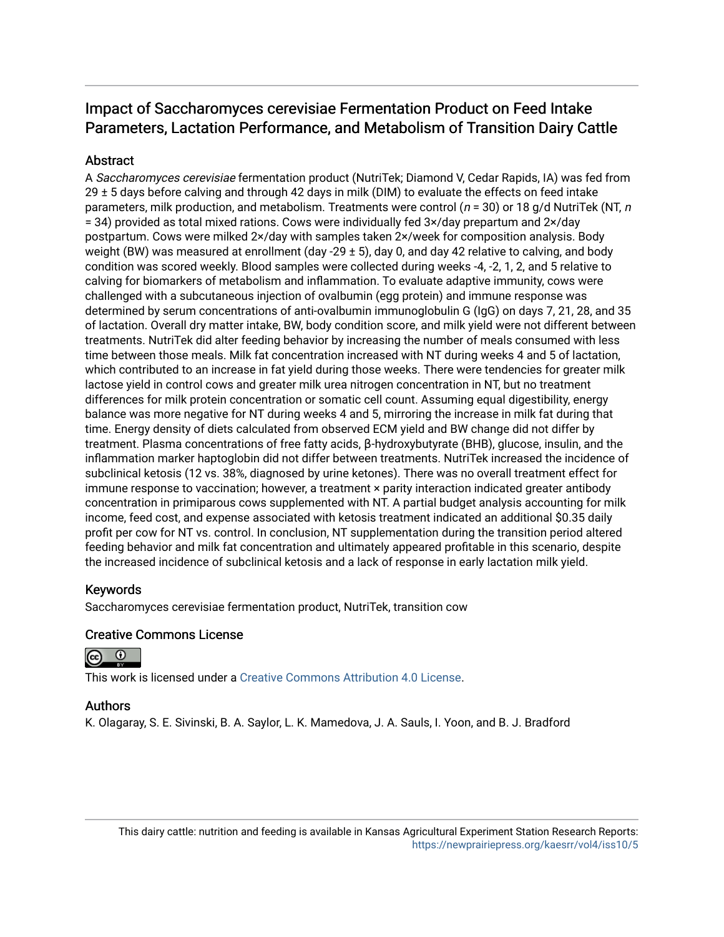# Impact of Saccharomyces cerevisiae Fermentation Product on Feed Intake Parameters, Lactation Performance, and Metabolism of Transition Dairy Cattle

## **Abstract**

A Saccharomyces cerevisiae fermentation product (NutriTek; Diamond V, Cedar Rapids, IA) was fed from  $29 \pm 5$  days before calving and through 42 days in milk (DIM) to evaluate the effects on feed intake parameters, milk production, and metabolism. Treatments were control ( $n = 30$ ) or 18 g/d NutriTek (NT, n = 34) provided as total mixed rations. Cows were individually fed 3×/day prepartum and 2×/day postpartum. Cows were milked 2×/day with samples taken 2×/week for composition analysis. Body weight (BW) was measured at enrollment (day -29  $\pm$  5), day 0, and day 42 relative to calving, and body condition was scored weekly. Blood samples were collected during weeks -4, -2, 1, 2, and 5 relative to calving for biomarkers of metabolism and inflammation. To evaluate adaptive immunity, cows were challenged with a subcutaneous injection of ovalbumin (egg protein) and immune response was determined by serum concentrations of anti-ovalbumin immunoglobulin G (IgG) on days 7, 21, 28, and 35 of lactation. Overall dry matter intake, BW, body condition score, and milk yield were not different between treatments. NutriTek did alter feeding behavior by increasing the number of meals consumed with less time between those meals. Milk fat concentration increased with NT during weeks 4 and 5 of lactation, which contributed to an increase in fat yield during those weeks. There were tendencies for greater milk lactose yield in control cows and greater milk urea nitrogen concentration in NT, but no treatment differences for milk protein concentration or somatic cell count. Assuming equal digestibility, energy balance was more negative for NT during weeks 4 and 5, mirroring the increase in milk fat during that time. Energy density of diets calculated from observed ECM yield and BW change did not differ by treatment. Plasma concentrations of free fatty acids, β-hydroxybutyrate (BHB), glucose, insulin, and the inflammation marker haptoglobin did not differ between treatments. NutriTek increased the incidence of subclinical ketosis (12 vs. 38%, diagnosed by urine ketones). There was no overall treatment effect for immune response to vaccination; however, a treatment × parity interaction indicated greater antibody concentration in primiparous cows supplemented with NT. A partial budget analysis accounting for milk income, feed cost, and expense associated with ketosis treatment indicated an additional \$0.35 daily profit per cow for NT vs. control. In conclusion, NT supplementation during the transition period altered feeding behavior and milk fat concentration and ultimately appeared profitable in this scenario, despite the increased incidence of subclinical ketosis and a lack of response in early lactation milk yield.

## Keywords

Saccharomyces cerevisiae fermentation product, NutriTek, transition cow

## Creative Commons License



This work is licensed under a [Creative Commons Attribution 4.0 License](https://creativecommons.org/licenses/by/4.0/).

### Authors

K. Olagaray, S. E. Sivinski, B. A. Saylor, L. K. Mamedova, J. A. Sauls, I. Yoon, and B. J. Bradford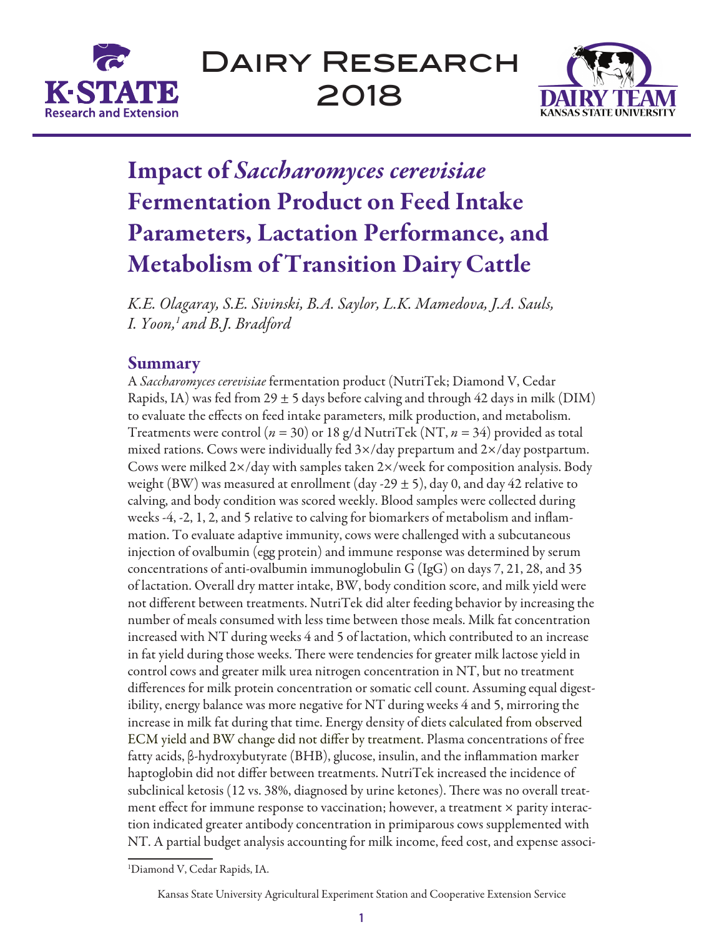



# Impact of *Saccharomyces cerevisiae* Fermentation Product on Feed Intake Parameters, Lactation Performance, and Metabolism of Transition Dairy Cattle

*K.E. Olagaray, S.E. Sivinski, B.A. Saylor, L.K. Mamedova, J.A. Sauls, I. Yoon,1 and B.J. Bradford*

# **Summary**

A *Saccharomyces cerevisiae* fermentation product (NutriTek; Diamond V, Cedar Rapids, IA) was fed from  $29 \pm 5$  days before calving and through 42 days in milk (DIM) to evaluate the effects on feed intake parameters, milk production, and metabolism. Treatments were control (*n* = 30) or 18 g/d NutriTek (NT, *n* = 34) provided as total mixed rations. Cows were individually fed  $3\times$ /day prepartum and  $2\times$ /day postpartum. Cows were milked 2×/day with samples taken 2×/week for composition analysis. Body weight (BW) was measured at enrollment (day -29  $\pm$  5), day 0, and day 42 relative to calving, and body condition was scored weekly. Blood samples were collected during weeks -4, -2, 1, 2, and 5 relative to calving for biomarkers of metabolism and inflammation. To evaluate adaptive immunity, cows were challenged with a subcutaneous injection of ovalbumin (egg protein) and immune response was determined by serum concentrations of anti-ovalbumin immunoglobulin G (IgG) on days 7, 21, 28, and 35 of lactation. Overall dry matter intake, BW, body condition score, and milk yield were not dif ferent between treatments. NutriTek did alter feeding behavior by increasing the number of meals consumed with less time between those meals. Milk fat concentration increased with NT during weeks 4 and 5 of lactation, which contributed to an increase in fat yield during those weeks. There were tendencies for greater milk lactose yield in control cows and greater milk urea nitrogen concentration in NT, but no treatment differences for milk protein concentration or somatic cell count. Assuming equal digestibility, energy balance was more negative for NT during weeks 4 and 5, mirroring the increase in milk fat during that time. Energy density of diets calculated from observed ECM yield and BW change did not differ by treatment. Plasma concentrations of free fatty acids, β-hydroxybutyrate (BHB), glucose, insulin, and the inflammation marker haptoglobin did not differ between treatments. NutriTek increased the incidence of subclinical ketosis (12 vs. 38%, diagnosed by urine ketones). There was no overall treatment effect for immune response to vaccination; however, a treatment  $\times$  parity interaction indicated greater antibody concentration in primiparous cows supplemented with NT. A partial budget analysis accounting for milk income, feed cost, and expense associ-

1 Diamond V, Cedar Rapids, IA.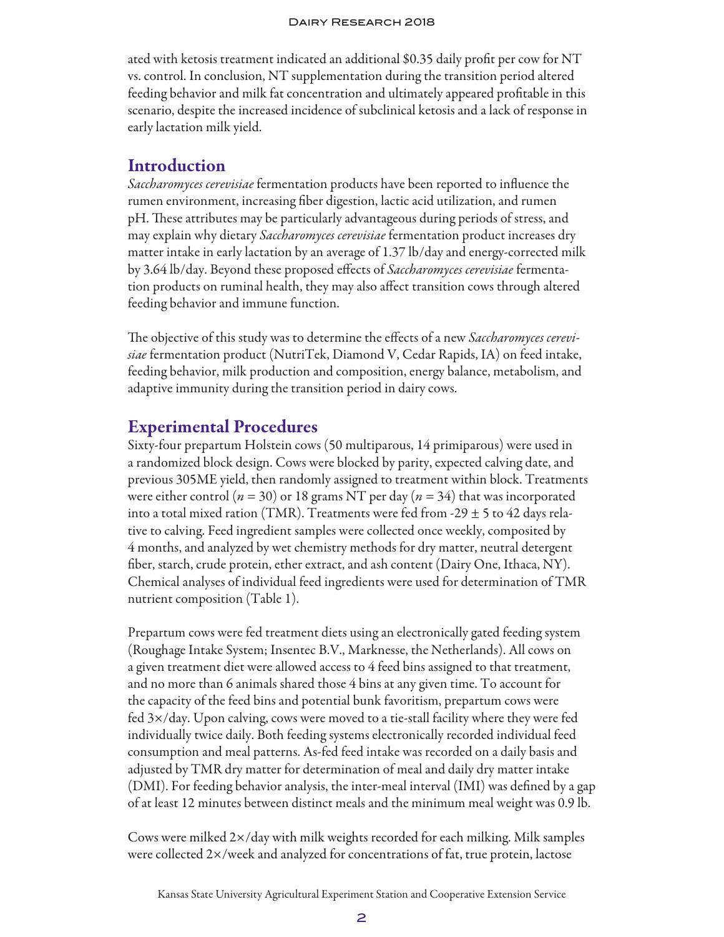ated with ketosis treatment indicated an additional \$0.35 daily profit per cow for NT vs. control. In conclusion, NT supplementation during the transition period altered feeding behavior and milk fat concentration and ultimately appeared profitable in this scenario, despite the increased incidence of subclinical ketosis and a lack of response in early lactation milk yield.

# **Introduction**

*Saccharomyces cerevisiae* fermentation products have been reported to influence the rumen environment, increasing fiber digestion, lactic acid utilization, and rumen pH. These attributes may be particularly advantageous during periods of stress, and may explain why dietary *Saccharomyces cerevisiae* fermentation product increases dry matter intake in early lactation by an average of 1.37 lb/day and energy-corrected milk by 3.64 lb/day. Beyond these proposed effects of *Saccharomyces cerevisiae* fermentation products on ruminal health, they may also affect transition cows through altered feeding behavior and immune function.

The objective of this study was to determine the effects of a new *Saccharomyces cerevisiae* fermentation product (NutriTek, Diamond V, Cedar Rapids, IA) on feed intake, feeding behavior, milk production and composition, energy balance, metabolism, and adaptive immunity during the transition period in dairy cows.

# Experimental Procedures

Sixty-four prepartum Holstein cows (50 multiparous, 14 primiparous) were used in a randomized block design. Cows were blocked by parity, expected calving date, and previous 305ME yield, then randomly assigned to treatment within block. Treatments were either control (*n* = 30) or 18 grams NT per day (*n* = 34) that was incorporated into a total mixed ration (TMR). Treatments were fed from -29  $\pm$  5 to 42 days relative to calving. Feed ingredient samples were collected once weekly, composited by 4 months, and analyzed by wet chemistry methods for dry matter, neutral detergent fiber, starch, crude protein, ether extract, and ash content (Dairy One, Ithaca, NY). Chemical analyses of individual feed ingredients were used for determination of TMR nutrient composition (Table 1).

Prepartum cows were fed treatment diets using an electronically gated feeding system (Roughage Intake System; Insentec B.V., Marknesse, the Netherlands). All cows on a given treatment diet were allowed access to 4 feed bins assigned to that treatment, and no more than 6 animals shared those 4 bins at any given time. To account for the capacity of the feed bins and potential bunk favoritism, prepartum cows were fed 3×/day. Upon calving, cows were moved to a tie-stall facility where they were fed individually twice daily. Both feeding systems electronically recorded individual feed consumption and meal patterns. As-fed feed intake was recorded on a daily basis and adjusted by TMR dry matter for determination of meal and daily dry matter intake (DMI). For feeding behavior analysis, the inter-meal interval (IMI) was defined by a gap of at least 12 minutes between distinct meals and the minimum meal weight was 0.9 lb.

Cows were milked 2×/day with milk weights recorded for each milking. Milk samples were collected 2×/week and analyzed for concentrations of fat, true protein, lactose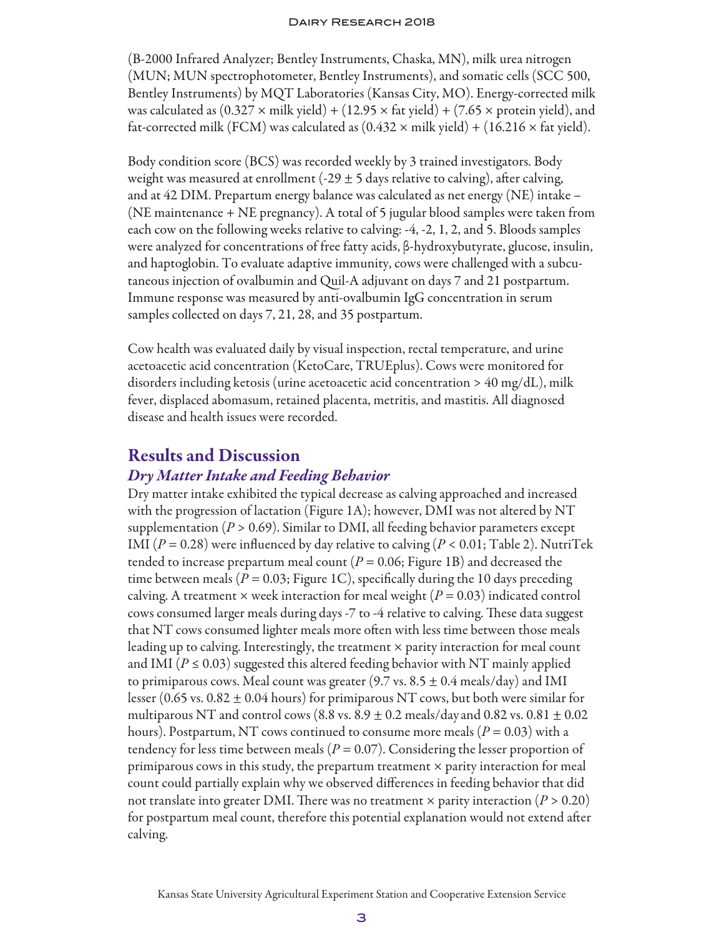(B-2000 Infrared Analyzer; Bentley Instruments, Chaska, MN), milk urea nitrogen (MUN; MUN spectrophotometer, Bentley Instruments), and somatic cells (SCC 500, Bentley Instruments) by MQT Laboratories (Kansas City, MO). Energy-corrected milk was calculated as  $(0.327 \times \text{milk yield}) + (12.95 \times \text{fat yield}) + (7.65 \times \text{protein yield})$ , and fat-corrected milk (FCM) was calculated as  $(0.432 \times \text{milk yield}) + (16.216 \times \text{fat yield}).$ 

Body condition score (BCS) was recorded weekly by 3 trained investigators. Body weight was measured at enrollment (-29  $\pm$  5 days relative to calving), after calving, and at 42 DIM. Prepartum energy balance was calculated as net energy (NE) intake – (NE maintenance + NE pregnancy). A total of 5 jugular blood samples were taken from each cow on the following weeks relative to calving: -4, -2, 1, 2, and 5. Bloods samples were analyzed for concentrations of free fatty acids, β-hydroxybutyrate, glucose, insulin, and haptoglobin. To evaluate adaptive immunity, cows were challenged with a subcutaneous injection of ovalbumin and Quil-A adjuvant on days 7 and 21 postpartum. Immune response was measured by anti-ovalbumin IgG concentration in serum samples collected on days 7, 21, 28, and 35 postpartum.

Cow health was evaluated daily by visual inspection, rectal temperature, and urine acetoacetic acid concentration (KetoCare, TRUEplus). Cows were monitored for disorders including ketosis (urine acetoacetic acid concentration > 40 mg/dL), milk fever, displaced abomasum, retained placenta, metritis, and mastitis. All diagnosed disease and health issues were recorded.

# Results and Discussion

## *Dry Matter Intake and Feeding Behavior*

Dry matter intake exhibited the typical decrease as calving approached and increased with the progression of lactation (Figure 1A); however, DMI was not altered by NT supplementation ( $P > 0.69$ ). Similar to DMI, all feeding behavior parameters except IMI  $(P = 0.28)$  were influenced by day relative to calving  $(P < 0.01;$  Table 2). NutriTek tended to increase prepartum meal count ( $P = 0.06$ ; Figure 1B) and decreased the time between meals ( $P = 0.03$ ; Figure 1C), specifically during the 10 days preceding calving. A treatment  $\times$  week interaction for meal weight ( $P = 0.03$ ) indicated control cows consumed larger meals during days -7 to -4 relative to calving. These data suggest that NT cows consumed lighter meals more often with less time between those meals leading up to calving. Interestingly, the treatment × parity interaction for meal count and IMI ( $P \le 0.03$ ) suggested this altered feeding behavior with NT mainly applied to primiparous cows. Meal count was greater (9.7 vs.  $8.5 \pm 0.4$  meals/day) and IMI lesser (0.65 vs. 0.82  $\pm$  0.04 hours) for primiparous NT cows, but both were similar for multiparous NT and control cows (8.8 vs.  $8.9 \pm 0.2$  meals/day and 0.82 vs.  $0.81 \pm 0.02$ hours). Postpartum, NT cows continued to consume more meals ( $P = 0.03$ ) with a tendency for less time between meals ( $P = 0.07$ ). Considering the lesser proportion of primiparous cows in this study, the prepartum treatment  $\times$  parity interaction for meal count could partially explain why we observed differences in feeding behavior that did not translate into greater DMI. There was no treatment  $\times$  parity interaction ( $P > 0.20$ ) for postpartum meal count, therefore this potential explanation would not extend after calving.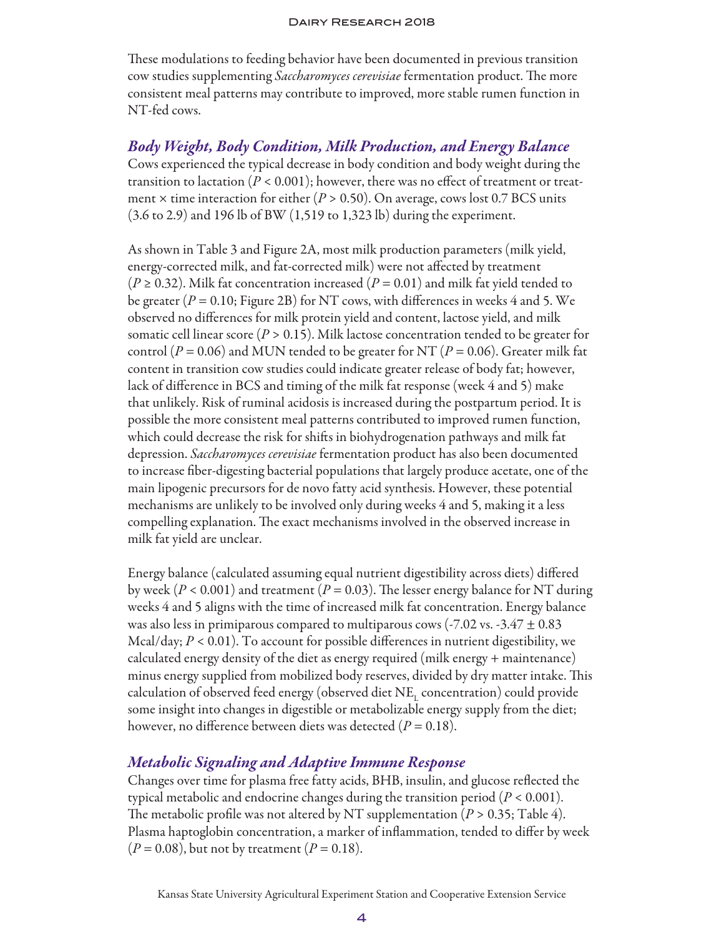These modulations to feeding behavior have been documented in previous transition cow studies supplementing *Saccharomyces cerevisiae* fermentation product. The more consistent meal patterns may contribute to improved, more stable rumen function in NT-fed cows.

*Body Weight, Body Condition, Milk Production, and Energy Balance* Cows experienced the typical decrease in body condition and body weight during the transition to lactation ( $P < 0.001$ ); however, there was no effect of treatment or treatment × time interaction for either (*P* > 0.50). On average, cows lost 0.7 BCS units (3.6 to 2.9) and 196 lb of BW (1,519 to 1,323 lb) during the experiment.

As shown in Table 3 and Figure 2A, most milk production parameters (milk yield, energy-corrected milk, and fat-corrected milk) were not affected by treatment  $(P \ge 0.32)$ . Milk fat concentration increased  $(P = 0.01)$  and milk fat yield tended to be greater  $(P = 0.10;$  Figure 2B) for NT cows, with differences in weeks 4 and 5. We observed no differences for milk protein yield and content, lactose yield, and milk somatic cell linear score ( $P > 0.15$ ). Milk lactose concentration tended to be greater for control ( $P = 0.06$ ) and MUN tended to be greater for NT ( $P = 0.06$ ). Greater milk fat content in transition cow studies could indicate greater release of body fat; however, lack of difference in BCS and timing of the milk fat response (week 4 and 5) make that unlikely. Risk of ruminal acidosis is increased during the postpartum period. It is possible the more consistent meal patterns contributed to improved rumen function, which could decrease the risk for shifts in biohydrogenation pathways and milk fat depression. *Saccharomyces cerevisiae* fermentation product has also been documented to increase fiber-digesting bacterial populations that largely produce acetate, one of the main lipogenic precursors for de novo fatty acid synthesis. However, these potential mechanisms are unlikely to be involved only during weeks 4 and 5, making it a less compelling explanation. The exact mechanisms involved in the observed increase in milk fat yield are unclear.

Energy balance (calculated assuming equal nutrient digestibility across diets) differed by week ( $P < 0.001$ ) and treatment ( $P = 0.03$ ). The lesser energy balance for NT during weeks 4 and 5 aligns with the time of increased milk fat concentration. Energy balance was also less in primiparous compared to multiparous cows (-7.02 vs. -3.47  $\pm$  0.83 Mcal/day;  $P < 0.01$ ). To account for possible differences in nutrient digestibility, we calculated energy density of the diet as energy required (milk energy + maintenance) minus energy supplied from mobilized body reserves, divided by dry matter intake. This calculation of observed feed energy (observed diet  $\mathrm{NE}_\mathrm{L}$  concentration) could provide some insight into changes in digestible or metabolizable energy supply from the diet; however, no difference between diets was detected (*P* = 0.18).

## *Metabolic Signaling and Adaptive Immune Response*

Changes over time for plasma free fatty acids, BHB, insulin, and glucose reflected the typical metabolic and endocrine changes during the transition period (*P* < 0.001). The metabolic profile was not altered by NT supplementation ( $P > 0.35$ ; Table 4). Plasma haptoglobin concentration, a marker of inflammation, tended to differ by week  $(P = 0.08)$ , but not by treatment  $(P = 0.18)$ .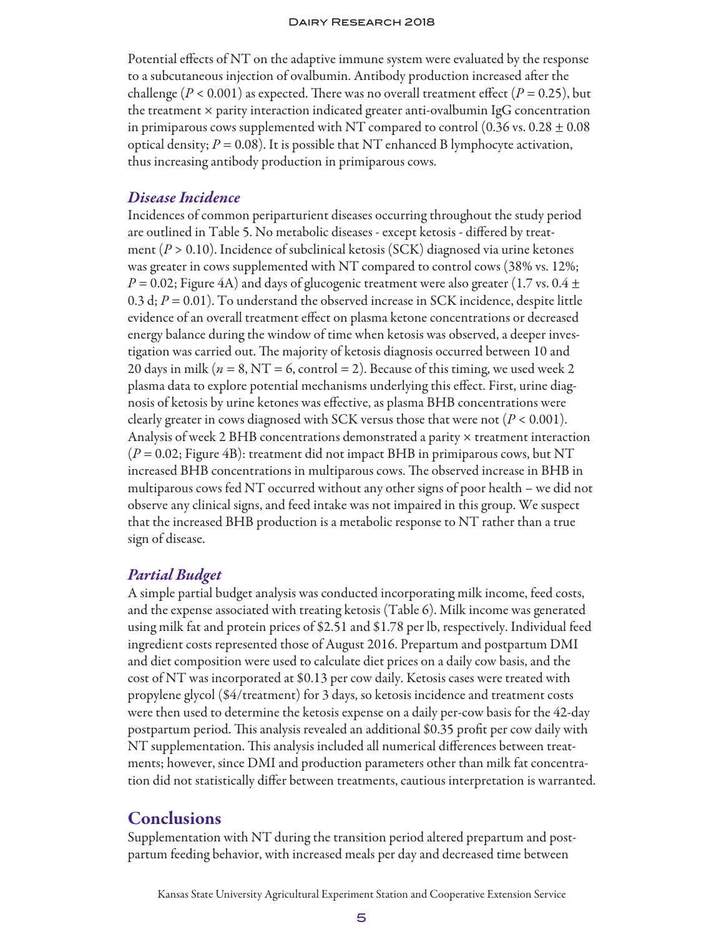Potential effects of NT on the adaptive immune system were evaluated by the response to a subcutaneous injection of ovalbumin. Antibody production increased after the challenge ( $P < 0.001$ ) as expected. There was no overall treatment effect ( $P = 0.25$ ), but the treatment  $\times$  parity interaction indicated greater anti-ovalbumin IgG concentration in primiparous cows supplemented with NT compared to control (0.36 vs. 0.28  $\pm$  0.08 optical density;  $P = 0.08$ ). It is possible that NT enhanced B lymphocyte activation, thus increasing antibody production in primiparous cows.

## *Disease Incidence*

Incidences of common periparturient diseases occurring throughout the study period are outlined in Table 5. No metabolic diseases - except ketosis - differed by treatment (*P* > 0.10). Incidence of subclinical ketosis (SCK) diagnosed via urine ketones was greater in cows supplemented with NT compared to control cows (38% vs. 12%;  $P$  = 0.02; Figure 4A) and days of glucogenic treatment were also greater (1.7 vs. 0.4  $\pm$ 0.3 d;  $P = 0.01$ ). To understand the observed increase in SCK incidence, despite little evidence of an overall treatment effect on plasma ketone concentrations or decreased energy balance during the window of time when ketosis was observed, a deeper investigation was carried out. The majority of ketosis diagnosis occurred between 10 and 20 days in milk ( $n = 8$ , NT = 6, control = 2). Because of this timing, we used week 2 plasma data to explore potential mechanisms underlying this effect. First, urine diagnosis of ketosis by urine ketones was effective, as plasma BHB concentrations were clearly greater in cows diagnosed with SCK versus those that were not (*P* < 0.001). Analysis of week 2 BHB concentrations demonstrated a parity × treatment interaction (*P* = 0.02; Figure 4B): treatment did not impact BHB in primiparous cows, but NT increased BHB concentrations in multiparous cows. The observed increase in BHB in multiparous cows fed NT occurred without any other signs of poor health – we did not observe any clinical signs, and feed intake was not impaired in this group. We suspect that the increased BHB production is a metabolic response to NT rather than a true sign of disease.

## *Partial Budget*

A simple partial budget analysis was conducted incorporating milk income, feed costs, and the expense associated with treating ketosis (Table 6). Milk income was generated using milk fat and protein prices of \$2.51 and \$1.78 per lb, respectively. Individual feed ingredient costs represented those of August 2016. Prepartum and postpartum DMI and diet composition were used to calculate diet prices on a daily cow basis, and the cost of NT was incorporated at \$0.13 per cow daily. Ketosis cases were treated with propylene glycol (\$4/treatment) for 3 days, so ketosis incidence and treatment costs were then used to determine the ketosis expense on a daily per-cow basis for the 42-day postpartum period. This analysis revealed an additional \$0.35 profit per cow daily with NT supplementation. This analysis included all numerical differences between treatments; however, since DMI and production parameters other than milk fat concentration did not statistically differ between treatments, cautious interpretation is warranted.

# **Conclusions**

Supplementation with NT during the transition period altered prepartum and postpartum feeding behavior, with increased meals per day and decreased time between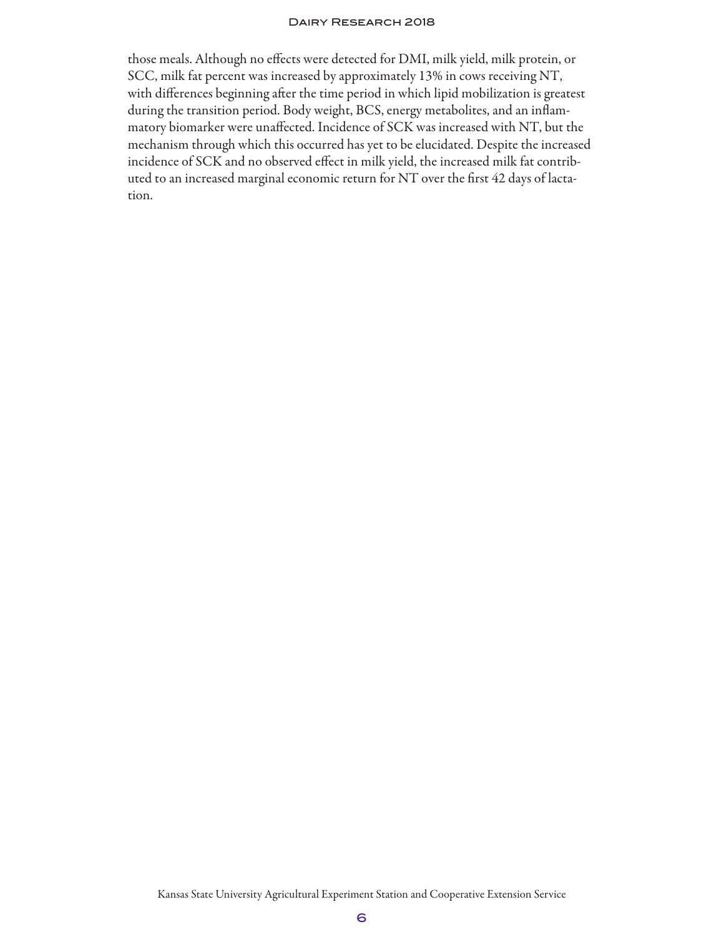those meals. Although no effects were detected for DMI, milk yield, milk protein, or SCC, milk fat percent was increased by approximately 13% in cows receiving NT, with differences beginning after the time period in which lipid mobilization is greatest during the transition period. Body weight, BCS, energy metabolites, and an inflammatory biomarker were unaffected. Incidence of SCK was increased with NT, but the mechanism through which this occurred has yet to be elucidated. Despite the increased incidence of SCK and no observed effect in milk yield, the increased milk fat contributed to an increased marginal economic return for NT over the first 42 days of lactation.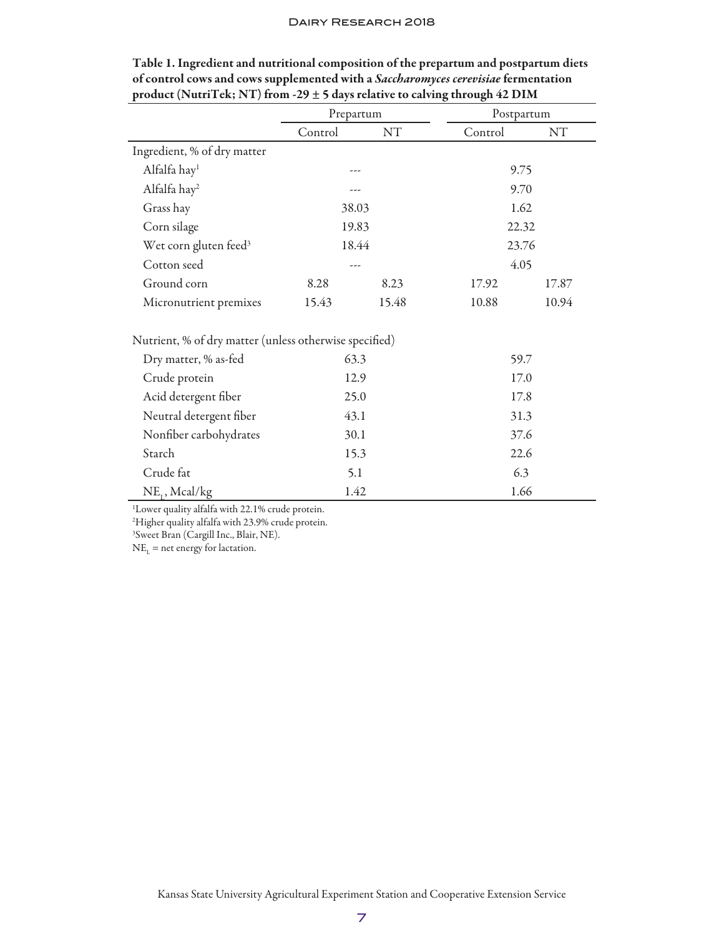|                                                                                                                               | Prepartum |       | Postpartum |           |
|-------------------------------------------------------------------------------------------------------------------------------|-----------|-------|------------|-----------|
|                                                                                                                               | Control   | NT    | Control    | <b>NT</b> |
| Ingredient, % of dry matter                                                                                                   |           |       |            |           |
| Alfalfa hay <sup>1</sup>                                                                                                      |           |       | 9.75       |           |
| Alfalfa hay <sup>2</sup>                                                                                                      | ---       |       | 9.70       |           |
| Grass hay                                                                                                                     | 38.03     |       | 1.62       |           |
| Corn silage                                                                                                                   | 19.83     |       | 22.32      |           |
| Wet corn gluten feed <sup>3</sup>                                                                                             | 18.44     |       | 23.76      |           |
| Cotton seed                                                                                                                   | ---       |       | 4.05       |           |
| Ground corn                                                                                                                   | 8.28      | 8.23  | 17.92      | 17.87     |
| Micronutrient premixes                                                                                                        | 15.43     | 15.48 | 10.88      | 10.94     |
| Nutrient, % of dry matter (unless otherwise specified)                                                                        |           |       |            |           |
| Dry matter, % as-fed                                                                                                          | 63.3      |       | 59.7       |           |
| Crude protein                                                                                                                 | 12.9      |       | 17.0       |           |
| Acid detergent fiber                                                                                                          | 25.0      |       | 17.8       |           |
| Neutral detergent fiber                                                                                                       | 43.1      |       | 31.3       |           |
| Nonfiber carbohydrates                                                                                                        | 30.1      |       | 37.6       |           |
| Starch                                                                                                                        | 15.3      |       | 22.6       |           |
| Crude fat                                                                                                                     | 5.1       |       | 6.3        |           |
| $NE_{1}$ , Mcal/kg                                                                                                            | 1.42      |       | 1.66       |           |
| <sup>1</sup> Lower quality alfalfa with 22.1% crude protein.<br><sup>2</sup> Higher quality alfalfa with 23.9% crude protein. |           |       |            |           |

| Table 1. Ingredient and nutritional composition of the prepartum and postpartum diets |
|---------------------------------------------------------------------------------------|
| of control cows and cows supplemented with a Saccharomyces cerevisiae fermentation    |
| product (NutriTek; NT) from -29 $\pm$ 5 days relative to calving through 42 DIM       |

3 Sweet Bran (Cargill Inc., Blair, NE).

 $NE_{L}$  = net energy for lactation.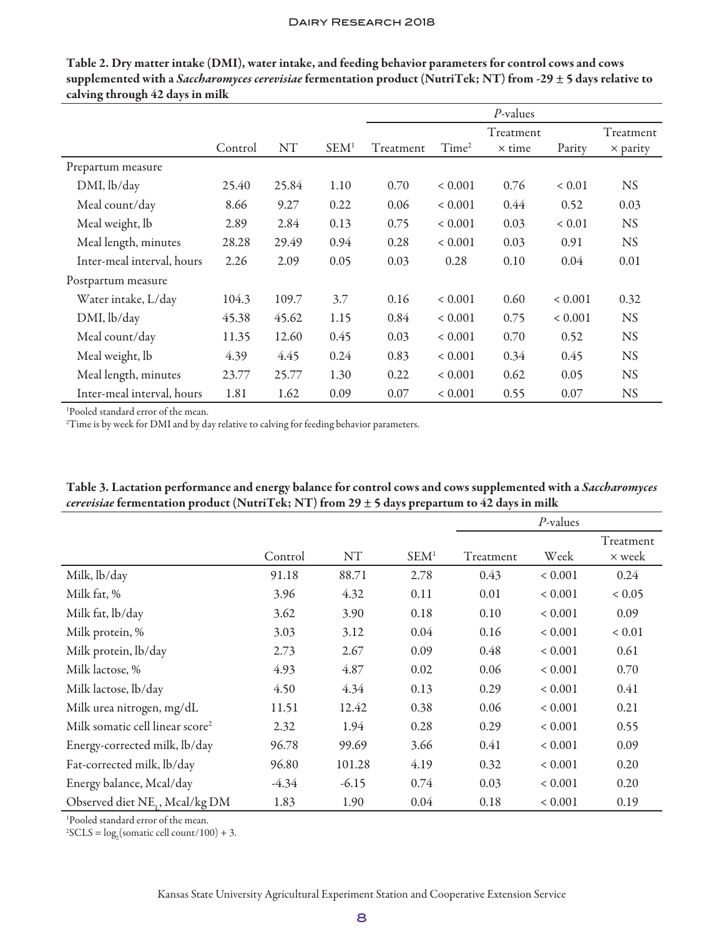|                            |         |           |                  | $P$ -values |                   |               |             |                 |
|----------------------------|---------|-----------|------------------|-------------|-------------------|---------------|-------------|-----------------|
|                            |         |           |                  |             |                   | Treatment     |             | Treatment       |
|                            | Control | <b>NT</b> | SEM <sup>1</sup> | Treatment   | Time <sup>2</sup> | $\times$ time | Parity      | $\times$ parity |
| Prepartum measure          |         |           |                  |             |                   |               |             |                 |
| DMI, lb/day                | 25.40   | 25.84     | 1.10             | 0.70        | ${}< 0.001$       | 0.76          | ${}< 0.01$  | <b>NS</b>       |
| Meal count/day             | 8.66    | 9.27      | 0.22             | 0.06        | ${}< 0.001$       | 0.44          | 0.52        | 0.03            |
| Meal weight, lb            | 2.89    | 2.84      | 0.13             | 0.75        | ${}< 0.001$       | 0.03          | ${}< 0.01$  | <b>NS</b>       |
| Meal length, minutes       | 28.28   | 29.49     | 0.94             | 0.28        | ${}< 0.001$       | 0.03          | 0.91        | <b>NS</b>       |
| Inter-meal interval, hours | 2.26    | 2.09      | 0.05             | 0.03        | 0.28              | 0.10          | 0.04        | 0.01            |
| Postpartum measure         |         |           |                  |             |                   |               |             |                 |
| Water intake, L/day        | 104.3   | 109.7     | 3.7              | 0.16        | ${}< 0.001$       | 0.60          | ${}< 0.001$ | 0.32            |
| DMI, lb/day                | 45.38   | 45.62     | 1.15             | 0.84        | ${}< 0.001$       | 0.75          | ${}< 0.001$ | <b>NS</b>       |
| Meal count/day             | 11.35   | 12.60     | 0.45             | 0.03        | ${}< 0.001$       | 0.70          | 0.52        | <b>NS</b>       |
| Meal weight, lb            | 4.39    | 4.45      | 0.24             | 0.83        | ${}< 0.001$       | 0.34          | 0.45        | <b>NS</b>       |
| Meal length, minutes       | 23.77   | 25.77     | 1.30             | 0.22        | ${}< 0.001$       | 0.62          | 0.05        | <b>NS</b>       |
| Inter-meal interval, hours | 1.81    | 1.62      | 0.09             | 0.07        | ${}< 0.001$       | 0.55          | 0.07        | <b>NS</b>       |

Table 2. Dry matter intake (DMI), water intake, and feeding behavior parameters for control cows and cows supplemented with a *Saccharomyces cerevisiae* fermentation product (NutriTek; NT) from -29 ± 5 days relative to calving through 42 days in milk

1 Pooled standard error of the mean.

<sup>2</sup>Time is by week for DMI and by day relative to calving for feeding behavior parameters.

|                                             |         |           |                  |           | $P$ -values |            |
|---------------------------------------------|---------|-----------|------------------|-----------|-------------|------------|
|                                             |         |           |                  |           |             | Treatment  |
|                                             | Control | <b>NT</b> | SEM <sup>1</sup> | Treatment | Week        | × week     |
| Milk, lb/day                                | 91.18   | 88.71     | 2.78             | 0.43      | ${}< 0.001$ | 0.24       |
| Milk fat, %                                 | 3.96    | 4.32      | 0.11             | 0.01      | ${}< 0.001$ | 0.05       |
| Milk fat, lb/day                            | 3.62    | 3.90      | 0.18             | 0.10      | ${}< 0.001$ | 0.09       |
| Milk protein, %                             | 3.03    | 3.12      | 0.04             | 0.16      | ${}< 0.001$ | ${}< 0.01$ |
| Milk protein, lb/day                        | 2.73    | 2.67      | 0.09             | 0.48      | ${}< 0.001$ | 0.61       |
| Milk lactose, %                             | 4.93    | 4.87      | 0.02             | 0.06      | ${}< 0.001$ | 0.70       |
| Milk lactose, lb/day                        | 4.50    | 4.34      | 0.13             | 0.29      | ${}< 0.001$ | 0.41       |
| Milk urea nitrogen, mg/dL                   | 11.51   | 12.42     | 0.38             | 0.06      | ${}< 0.001$ | 0.21       |
| Milk somatic cell linear score <sup>2</sup> | 2.32    | 1.94      | 0.28             | 0.29      | ${}< 0.001$ | 0.55       |
| Energy-corrected milk, lb/day               | 96.78   | 99.69     | 3.66             | 0.41      | ${}< 0.001$ | 0.09       |
| Fat-corrected milk, lb/day                  | 96.80   | 101.28    | 4.19             | 0.32      | ${}< 0.001$ | 0.20       |
| Energy balance, Mcal/day                    | $-4.34$ | $-6.15$   | 0.74             | 0.03      | ${}< 0.001$ | 0.20       |
| Observed diet NE, Mcal/kg DM                | 1.83    | 1.90      | 0.04             | 0.18      | ${}< 0.001$ | 0.19       |

Table 3. Lactation performance and energy balance for control cows and cows supplemented with a *Saccharomyces cerevisiae* fermentation product (NutriTek; NT) from 29 ± 5 days prepartum to 42 days in milk

1 Pooled standard error of the mean.

 ${}^{2}\text{SCLS} = \log_{2}(\text{sonatic cell count}/100) + 3.$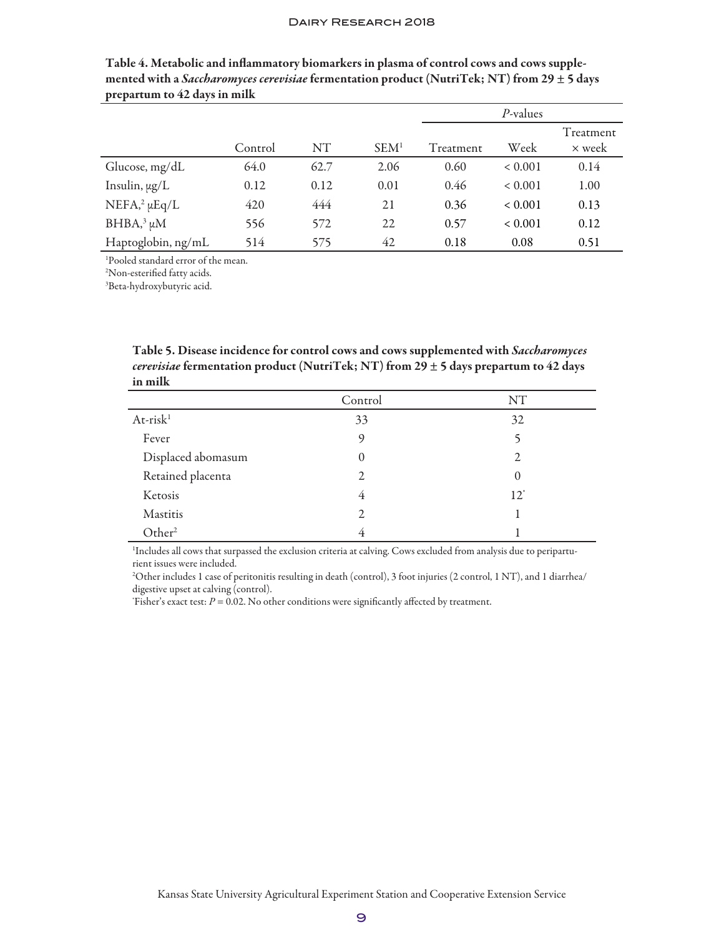|                                |         |      |                  | P-values  |             |                     |
|--------------------------------|---------|------|------------------|-----------|-------------|---------------------|
|                                | Control | NT   | SEM <sup>1</sup> | Treatment | Week        | Treatment<br>× week |
| Glucose, mg/dL                 | 64.0    | 62.7 | 2.06             | 0.60      | ${}< 0.001$ | 0.14                |
| Insulin, $\mu g/L$             | 0.12    | 0.12 | 0.01             | 0.46      | ${}< 0.001$ | 1.00                |
| $NEFA$ <sup>2</sup> $\mu Eq/L$ | 420     | 444  | 21               | 0.36      | ${}< 0.001$ | 0.13                |
| $BHBA$ <sup>3</sup> $\mu$ M    | 556     | 572  | 22               | 0.57      | ${}< 0.001$ | 0.12                |
| Haptoglobin, ng/mL             | 514     | 575  | 42               | 0.18      | 0.08        | 0.51                |

Table 4. Metabolic and inflammatory biomarkers in plasma of control cows and cows supplemented with a *Saccharomyces cerevisiae* fermentation product (NutriTek; NT) from 29 ± 5 days prepartum to 42 days in milk

1 Pooled standard error of the mean.

2 Non-esterified fatty acids.

3 Beta-hydroxybutyric acid.

Table 5. Disease incidence for control cows and cows supplemented with *Saccharomyces cerevisiae* fermentation product (NutriTek; NT) from 29 ± 5 days prepartum to 42 days in milk

|                    | Control        | NT             |
|--------------------|----------------|----------------|
| $At-risk1$         | 33             | 32             |
| Fever              | $\mathsf{o}$   |                |
| Displaced abomasum | 0              | 2              |
| Retained placenta  | 2              | 0              |
| Ketosis            | $\overline{4}$ | $12^{\degree}$ |
| Mastitis           | 2              |                |
| Other <sup>2</sup> | 4              |                |

1 Includes all cows that surpassed the exclusion criteria at calving. Cows excluded from analysis due to periparturient issues were included.

2 Other includes 1 case of peritonitis resulting in death (control), 3 foot injuries (2 control, 1 NT), and 1 diarrhea/ digestive upset at calving (control).

'Fisher's exact test:  $P = 0.02$ . No other conditions were significantly affected by treatment.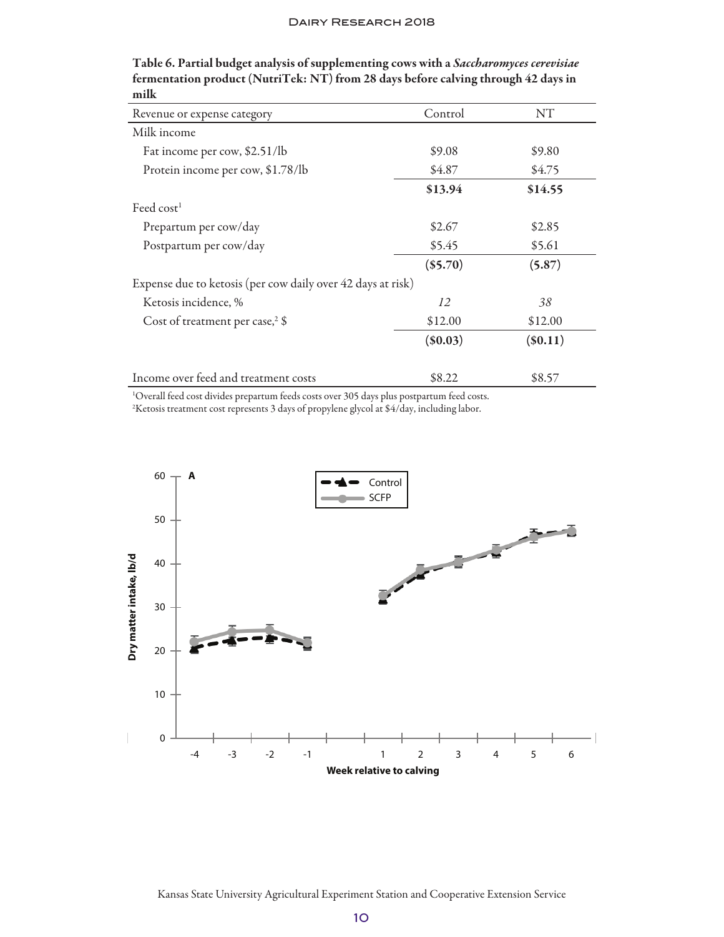| Revenue or expense category                                 | Control    | NT         |
|-------------------------------------------------------------|------------|------------|
| Milk income                                                 |            |            |
| Fat income per cow, \$2.51/lb                               | \$9.08     | \$9.80     |
| Protein income per cow, \$1.78/lb                           | \$4.87     | \$4.75     |
|                                                             | \$13.94    | \$14.55    |
| Feed $cost1$                                                |            |            |
| Prepartum per cow/day                                       | \$2.67     | \$2.85     |
| Postpartum per cow/day                                      | \$5.45     | \$5.61     |
|                                                             | $(\$5.70)$ | (5.87)     |
| Expense due to ketosis (per cow daily over 42 days at risk) |            |            |
| Ketosis incidence, %                                        | 12         | 38         |
| Cost of treatment per case, $3$                             | \$12.00    | \$12.00    |
|                                                             | $(\$0.03)$ | $(\$0.11)$ |
| Income over feed and treatment costs                        | \$8.22     | \$8.57     |

Table 6. Partial budget analysis of supplementing cows with a *Saccharomyces cerevisiae* fermentation product (NutriTek: NT) from 28 days before calving through 42 days in milk

1 Overall feed cost divides prepartum feeds costs over 305 days plus postpartum feed costs.

2 Ketosis treatment cost represents 3 days of propylene glycol at \$4/day, including labor.

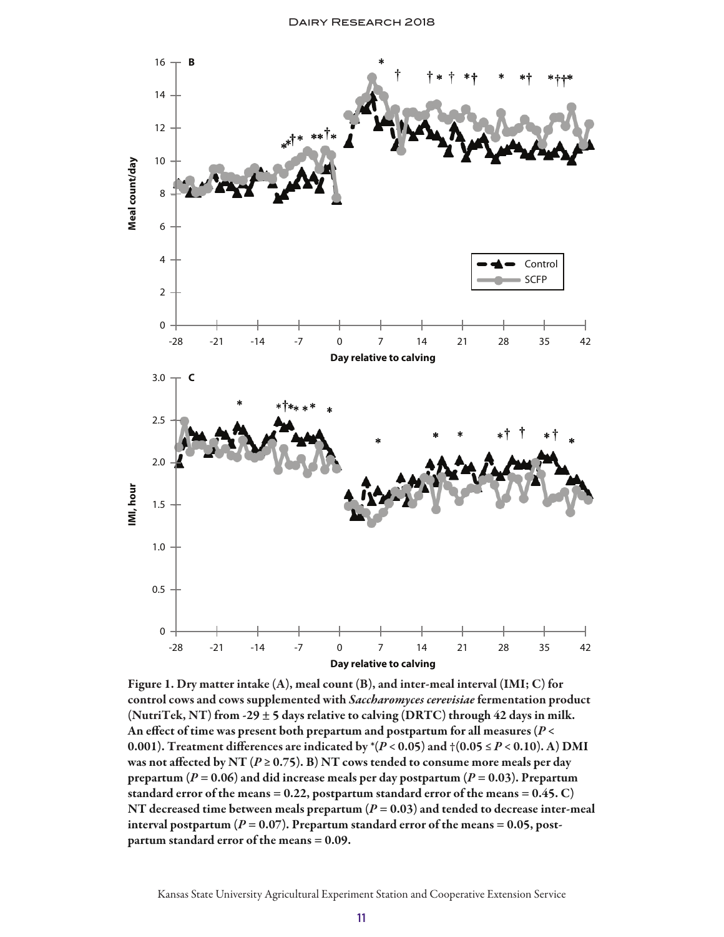

Figure 1. Dry matter intake (A), meal count (B), and inter-meal interval (IMI; C) for control cows and cows supplemented with *Saccharomyces cerevisiae* fermentation product (NutriTek, NT) from -29  $\pm$  5 days relative to calving (DRTC) through 42 days in milk. An effect of time was present both prepartum and postpartum for all measures (*P* < 0.001). Treatment differences are indicated by  $*(P < 0.05)$  and  $\dagger (0.05 \le P < 0.10)$ . A) DMI was not affected by NT ( $P \ge 0.75$ ). B) NT cows tended to consume more meals per day prepartum ( $P = 0.06$ ) and did increase meals per day postpartum ( $P = 0.03$ ). Prepartum standard error of the means = 0.22, postpartum standard error of the means =  $0.45$ . C) NT decreased time between meals prepartum  $(P = 0.03)$  and tended to decrease inter-meal interval postpartum  $(P = 0.07)$ . Prepartum standard error of the means = 0.05, postpartum standard error of the means = 0.09.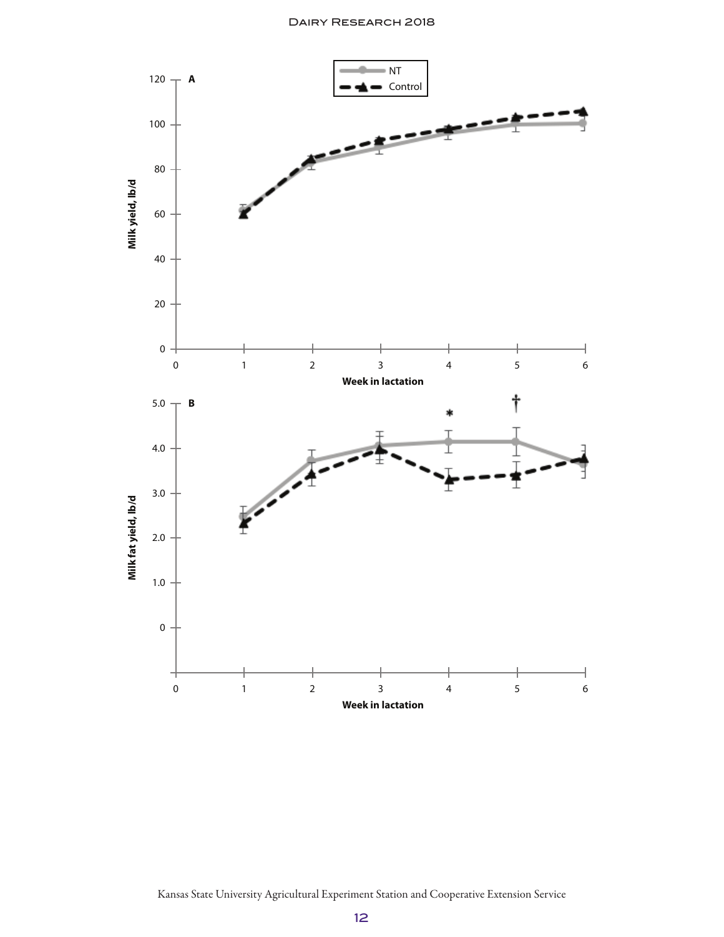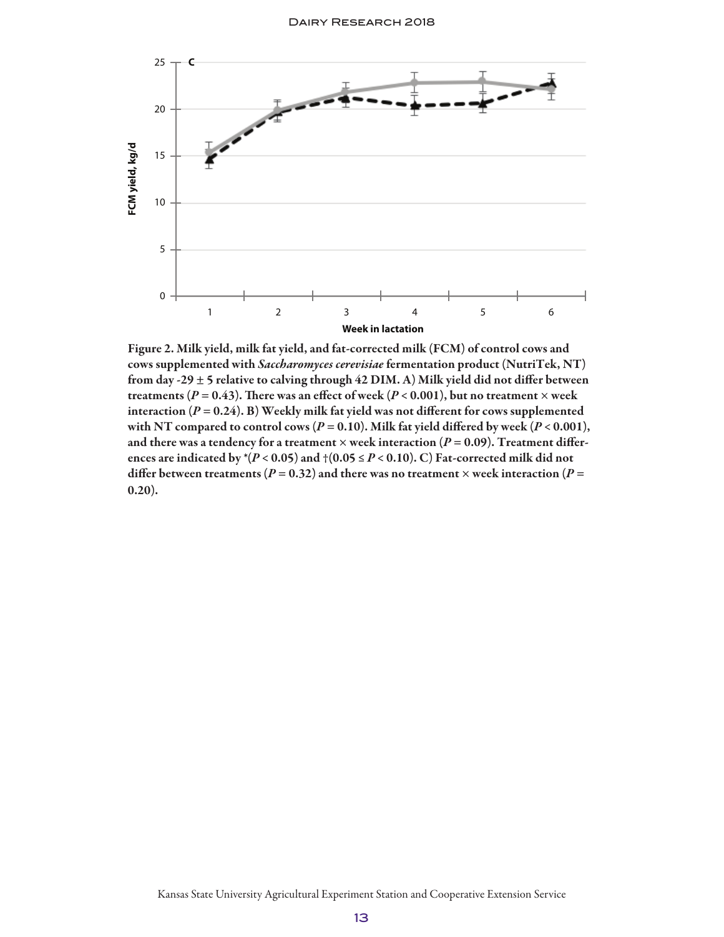

Figure 2. Milk yield, milk fat yield, and fat-corrected milk (FCM) of control cows and cows supplemented with *Saccharomyces cerevisiae* fermentation product (NutriTek, NT) from day -29  $\pm$  5 relative to calving through 42 DIM. A) Milk yield did not differ between treatments ( $P = 0.43$ ). There was an effect of week ( $P < 0.001$ ), but no treatment  $\times$  week interaction  $(P = 0.24)$ . B) Weekly milk fat yield was not different for cows supplemented with NT compared to control cows ( $P = 0.10$ ). Milk fat yield differed by week ( $P < 0.001$ ), and there was a tendency for a treatment  $\times$  week interaction ( $P = 0.09$ ). Treatment differences are indicated by  $*(P < 0.05)$  and  $\dag (0.05 \le P < 0.10)$ . C) Fat-corrected milk did not differ between treatments ( $P = 0.32$ ) and there was no treatment  $\times$  week interaction ( $P =$ 0.20).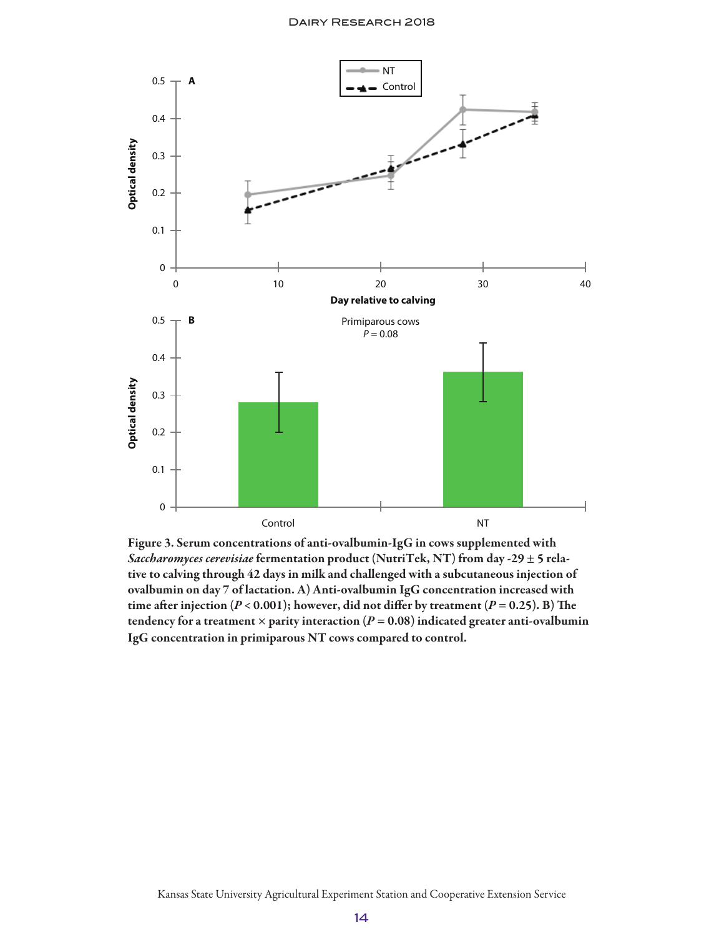

Figure 3. Serum concentrations of anti-ovalbumin-IgG in cows supplemented with *Saccharomyces cerevisiae* fermentation product (NutriTek, NT) from day -29 ± 5 relative to calving through 42 days in milk and challenged with a subcutaneous injection of ovalbumin on day 7 of lactation. A) Anti-ovalbumin IgG concentration increased with time after injection  $(P < 0.001)$ ; however, did not differ by treatment  $(P = 0.25)$ . B) The tendency for a treatment  $\times$  parity interaction ( $P = 0.08$ ) indicated greater anti-ovalbumin IgG concentration in primiparous NT cows compared to control.